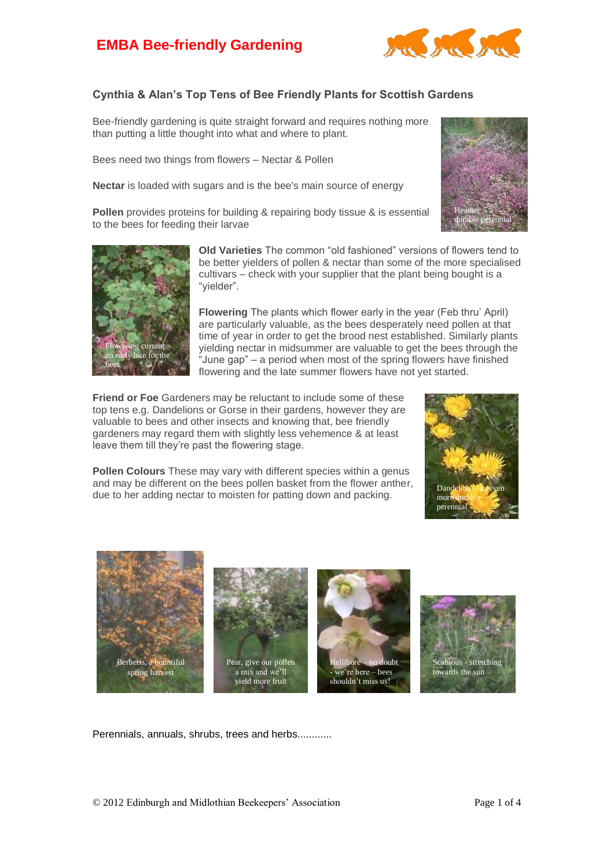## **EMBA Bee-friendly Gardening**



## **Cynthia & Alan's Top Tens of Bee Friendly Plants for Scottish Gardens**

Bee-friendly gardening is quite straight forward and requires nothing more than putting a little thought into what and where to plant.

Bees need two things from flowers – Nectar & Pollen

**Nectar** is loaded with sugars and is the bee's main source of energy

**Pollen** provides proteins for building & repairing body tissue & is essential to the bees for feeding their larvae





**Old Varieties** The common "old fashioned" versions of flowers tend to be better yielders of pollen & nectar than some of the more specialised cultivars – check with your supplier that the plant being bought is a "yielder".

**Flowering** The plants which flower early in the year (Feb thru' April) are particularly valuable, as the bees desperately need pollen at that time of year in order to get the brood nest established. Similarly plants yielding nectar in midsummer are valuable to get the bees through the "June gap" – a period when most of the spring flowers have finished flowering and the late summer flowers have not yet started.

**Friend or Foe** Gardeners may be reluctant to include some of these top tens e.g. Dandelions or Gorse in their gardens, however they are valuable to bees and other insects and knowing that, bee friendly gardeners may regard them with slightly less vehemence & at least leave them till they're past the flowering stage.

**Pollen Colours** These may vary with different species within a genus and may be different on the bees pollen basket from the flower anther, due to her adding nectar to moisten for patting down and packing.





Perennials, annuals, shrubs, trees and herbs............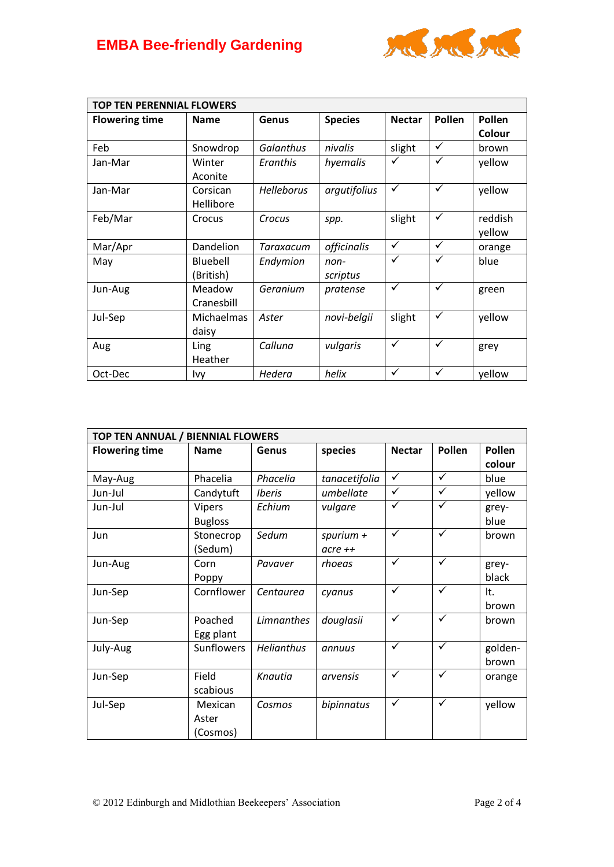

| <b>TOP TEN PERENNIAL FLOWERS</b> |                       |                   |                    |               |              |                   |  |
|----------------------------------|-----------------------|-------------------|--------------------|---------------|--------------|-------------------|--|
| <b>Flowering time</b>            | <b>Name</b>           | Genus             | <b>Species</b>     | <b>Nectar</b> | Pollen       | Pollen<br>Colour  |  |
| Feb                              | Snowdrop              | Galanthus         | nivalis            | slight        | $\checkmark$ | brown             |  |
| Jan-Mar                          | Winter<br>Aconite     | Eranthis          | hyemalis           | ✓             | $\checkmark$ | yellow            |  |
| Jan-Mar                          | Corsican<br>Hellibore | <b>Helleborus</b> | argutifolius       | $\checkmark$  | $\checkmark$ | yellow            |  |
| Feb/Mar                          | Crocus                | Crocus            | spp.               | slight        | $\checkmark$ | reddish<br>yellow |  |
| Mar/Apr                          | Dandelion             | Taraxacum         | <i>officinalis</i> | ✓             | $\checkmark$ | orange            |  |
| May                              | Bluebell<br>(British) | Endymion          | non-<br>scriptus   | ✓             | ✓            | blue              |  |
| Jun-Aug                          | Meadow<br>Cranesbill  | Geranium          | pratense           | $\checkmark$  | $\checkmark$ | green             |  |
| Jul-Sep                          | Michaelmas<br>daisy   | Aster             | novi-belgii        | slight        | $\checkmark$ | yellow            |  |
| Aug                              | Ling<br>Heather       | Calluna           | vulgaris           | $\checkmark$  | $\checkmark$ | grey              |  |
| Oct-Dec                          | Ivy                   | Hedera            | helix              | $\checkmark$  | ✓            | yellow            |  |

| TOP TEN ANNUAL / BIENNIAL FLOWERS |                   |                             |               |               |              |         |  |
|-----------------------------------|-------------------|-----------------------------|---------------|---------------|--------------|---------|--|
| <b>Flowering time</b>             | <b>Name</b>       | Genus                       | species       | <b>Nectar</b> | Pollen       | Pollen  |  |
|                                   |                   |                             |               |               |              | colour  |  |
| May-Aug                           | Phacelia          | Phacelia                    | tanacetifolia | $\checkmark$  | $\checkmark$ | blue    |  |
| Jun-Jul                           | Candytuft         | <i><u><b>Iberis</b></u></i> | umbellate     | ✓             | ✓            | yellow  |  |
| Jun-Jul                           | Vipers            | Echium                      | vulgare       | ✓             | ✓            | grey-   |  |
|                                   | <b>Bugloss</b>    |                             |               |               |              | blue    |  |
| Jun                               | Stonecrop         | Sedum                       | spurium $+$   | $\checkmark$  | $\checkmark$ | brown   |  |
|                                   | (Sedum)           |                             | $acre ++$     |               |              |         |  |
| Jun-Aug                           | Corn              | Pavaver                     | rhoeas        | $\checkmark$  | $\checkmark$ | grey-   |  |
|                                   | Poppy             |                             |               |               |              | black   |  |
| Jun-Sep                           | Cornflower        | Centaurea                   | cyanus        | $\checkmark$  | $\checkmark$ | It.     |  |
|                                   |                   |                             |               |               |              | brown   |  |
| Jun-Sep                           | Poached           | <b>Limnanthes</b>           | douglasii     | $\checkmark$  | $\checkmark$ | brown   |  |
|                                   | Egg plant         |                             |               |               |              |         |  |
| July-Aug                          | <b>Sunflowers</b> | <b>Helianthus</b>           | annuus        | $\checkmark$  | $\checkmark$ | golden- |  |
|                                   |                   |                             |               |               |              | brown   |  |
| Jun-Sep                           | Field             | Knautia                     | arvensis      | $\checkmark$  | $\checkmark$ | orange  |  |
|                                   | scabious          |                             |               |               |              |         |  |
| Jul-Sep                           | Mexican           | Cosmos                      | bipinnatus    | $\checkmark$  | $\checkmark$ | yellow  |  |
|                                   | Aster             |                             |               |               |              |         |  |
|                                   | (Cosmos)          |                             |               |               |              |         |  |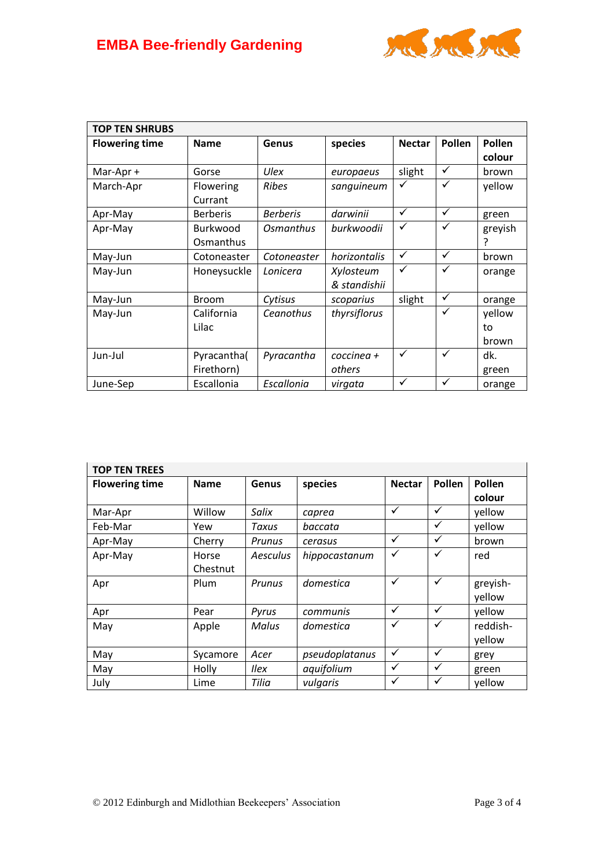

| <b>TOP TEN SHRUBS</b> |                 |                 |              |               |              |               |
|-----------------------|-----------------|-----------------|--------------|---------------|--------------|---------------|
| <b>Flowering time</b> | <b>Name</b>     | Genus           | species      | <b>Nectar</b> | Pollen       | <b>Pollen</b> |
|                       |                 |                 |              |               |              | colour        |
| Mar-Apr +             | Gorse           | Ulex            | europaeus    | slight        | ✓            | brown         |
| March-Apr             | Flowering       | <b>Ribes</b>    | sanguineum   | ✓             | ✓            | yellow        |
|                       | Currant         |                 |              |               |              |               |
| Apr-May               | <b>Berberis</b> | <b>Berberis</b> | darwinii     | $\checkmark$  | $\checkmark$ | green         |
| Apr-May               | <b>Burkwood</b> | Osmanthus       | burkwoodii   | ✓             | ✓            | greyish       |
|                       | Osmanthus       |                 |              |               |              |               |
| May-Jun               | Cotoneaster     | Cotoneaster     | horizontalis | ✓             | $\checkmark$ | brown         |
| May-Jun               | Honeysuckle     | Lonicera        | Xylosteum    | $\checkmark$  | ✓            | orange        |
|                       |                 |                 | & standishii |               |              |               |
| May-Jun               | <b>Broom</b>    | Cytisus         | scoparius    | slight        | $\checkmark$ | orange        |
| May-Jun               | California      | Ceanothus       | thyrsiflorus |               | ✓            | yellow        |
|                       | Lilac           |                 |              |               |              | to            |
|                       |                 |                 |              |               |              | brown         |
| Jun-Jul               | Pyracantha(     | Pyracantha      | coccinea +   | ✓             | $\checkmark$ | dk.           |
|                       | Firethorn)      |                 | others       |               |              | green         |
| June-Sep              | Escallonia      | Escallonia      | virgata      | ✓             | ✓            | orange        |

| <b>TOP TEN TREES</b>  |             |                 |                |               |              |          |  |
|-----------------------|-------------|-----------------|----------------|---------------|--------------|----------|--|
| <b>Flowering time</b> | <b>Name</b> | Genus           | species        | <b>Nectar</b> | Pollen       | Pollen   |  |
|                       |             |                 |                |               |              | colour   |  |
| Mar-Apr               | Willow      | Salix           | caprea         | ✓             | $\checkmark$ | yellow   |  |
| Feb-Mar               | Yew         | Taxus           | baccata        |               | ✓            | yellow   |  |
| Apr-May               | Cherry      | Prunus          | cerasus        | $\checkmark$  | $\checkmark$ | brown    |  |
| Apr-May               | Horse       | <b>Aesculus</b> | hippocastanum  | $\checkmark$  | $\checkmark$ | red      |  |
|                       | Chestnut    |                 |                |               |              |          |  |
| Apr                   | Plum        | Prunus          | domestica      | $\checkmark$  | $\checkmark$ | greyish- |  |
|                       |             |                 |                |               |              | yellow   |  |
| Apr                   | Pear        | Pyrus           | communis       | $\checkmark$  | $\checkmark$ | yellow   |  |
| May                   | Apple       | Malus           | domestica      | $\checkmark$  | ✓            | reddish- |  |
|                       |             |                 |                |               |              | yellow   |  |
| May                   | Sycamore    | Acer            | pseudoplatanus | $\checkmark$  | $\checkmark$ | grey     |  |
| May                   | Holly       | llex            | aquifolium     | $\checkmark$  | ✓            | green    |  |
| July                  | Lime        | Tilia           | vulgaris       | $\checkmark$  | $\checkmark$ | yellow   |  |